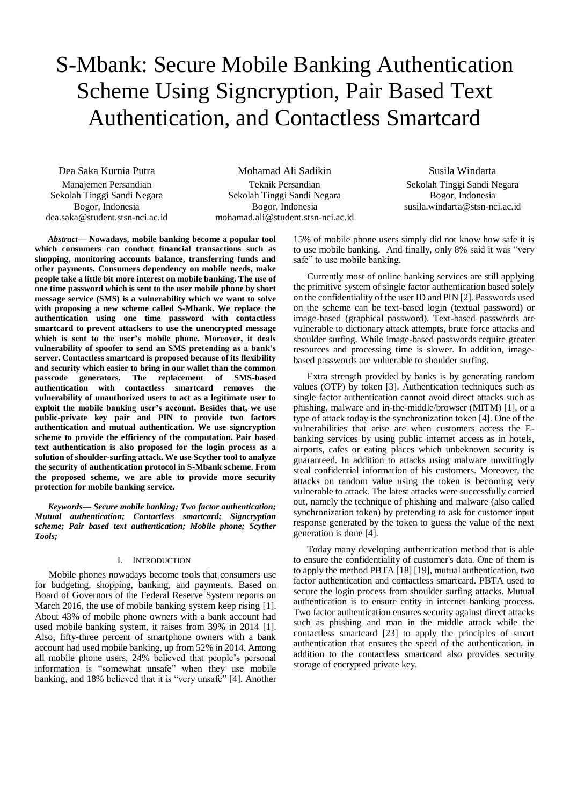# S-Mbank: Secure Mobile Banking Authentication Scheme Using Signcryption, Pair Based Text Authentication, and Contactless Smartcard

Dea Saka Kurnia Putra Manajemen Persandian Sekolah Tinggi Sandi Negara Bogor, Indonesia dea.saka@student.stsn-nci.ac.id

Mohamad Ali Sadikin Teknik Persandian Sekolah Tinggi Sandi Negara Bogor, Indonesia mohamad.ali@student.stsn-nci.ac.id

Susila Windarta Sekolah Tinggi Sandi Negara Bogor, Indonesia susila.windarta@stsn-nci.ac.id

*Abstract***— Nowadays, mobile banking become a popular tool which consumers can conduct financial transactions such as shopping, monitoring accounts balance, transferring funds and other payments. Consumers dependency on mobile needs, make people take a little bit more interest on mobile banking. The use of one time password which is sent to the user mobile phone by short message service (SMS) is a vulnerability which we want to solve with proposing a new scheme called S-Mbank. We replace the authentication using one time password with contactless smartcard to prevent attackers to use the unencrypted message which is sent to the user's mobile phone. Moreover, it deals vulnerability of spoofer to send an SMS pretending as a bank's server. Contactless smartcard is proposed because of its flexibility and security which easier to bring in our wallet than the common passcode generators. The replacement of SMS-based authentication with contactless smartcard removes the vulnerability of unauthorized users to act as a legitimate user to exploit the mobile banking user's account. Besides that, we use public-private key pair and PIN to provide two factors authentication and mutual authentication. We use signcryption scheme to provide the efficiency of the computation. Pair based text authentication is also proposed for the login process as a solution of shoulder-surfing attack. We use Scyther tool to analyze the security of authentication protocol in S-Mbank scheme. From the proposed scheme, we are able to provide more security protection for mobile banking service.**

*Keywords— Secure mobile banking; Two factor authentication; Mutual authentication; Contactless smartcard; Signcryption scheme; Pair based text authentication; Mobile phone; Scyther Tools;*

## I. INTRODUCTION

Mobile phones nowadays become tools that consumers use for budgeting, shopping, banking, and payments. Based on Board of Governors of the Federal Reserve System reports on March 2016, the use of mobile banking system keep rising [1]. About 43% of mobile phone owners with a bank account had used mobile banking system, it raises from 39% in 2014 [1]. Also, fifty-three percent of smartphone owners with a bank account had used mobile banking, up from 52% in 2014. Among all mobile phone users, 24% believed that people's personal information is "somewhat unsafe" when they use mobile banking, and 18% believed that it is "very unsafe" [4]. Another

15% of mobile phone users simply did not know how safe it is to use mobile banking. And finally, only 8% said it was "very safe" to use mobile banking.

Currently most of online banking services are still applying the primitive system of single factor authentication based solely on the confidentiality of the user ID and PIN [2]. Passwords used on the scheme can be text-based login (textual password) or image-based (graphical password). Text-based passwords are vulnerable to dictionary attack attempts, brute force attacks and shoulder surfing. While image-based passwords require greater resources and processing time is slower. In addition, imagebased passwords are vulnerable to shoulder surfing.

Extra strength provided by banks is by generating random values (OTP) by token [3]. Authentication techniques such as single factor authentication cannot avoid direct attacks such as phishing, malware and in-the-middle/browser (MITM) [1], or a type of attack today is the synchronization token [4]. One of the vulnerabilities that arise are when customers access the Ebanking services by using public internet access as in hotels, airports, cafes or eating places which unbeknown security is guaranteed. In addition to attacks using malware unwittingly steal confidential information of his customers. Moreover, the attacks on random value using the token is becoming very vulnerable to attack. The latest attacks were successfully carried out, namely the technique of phishing and malware (also called synchronization token) by pretending to ask for customer input response generated by the token to guess the value of the next generation is done [4].

Today many developing authentication method that is able to ensure the confidentiality of customer's data. One of them is to apply the method PBTA [18] [19], mutual authentication, two factor authentication and contactless smartcard. PBTA used to secure the login process from shoulder surfing attacks. Mutual authentication is to ensure entity in internet banking process. Two factor authentication ensures security against direct attacks such as phishing and man in the middle attack while the contactless smartcard [23] to apply the principles of smart authentication that ensures the speed of the authentication, in addition to the contactless smartcard also provides security storage of encrypted private key.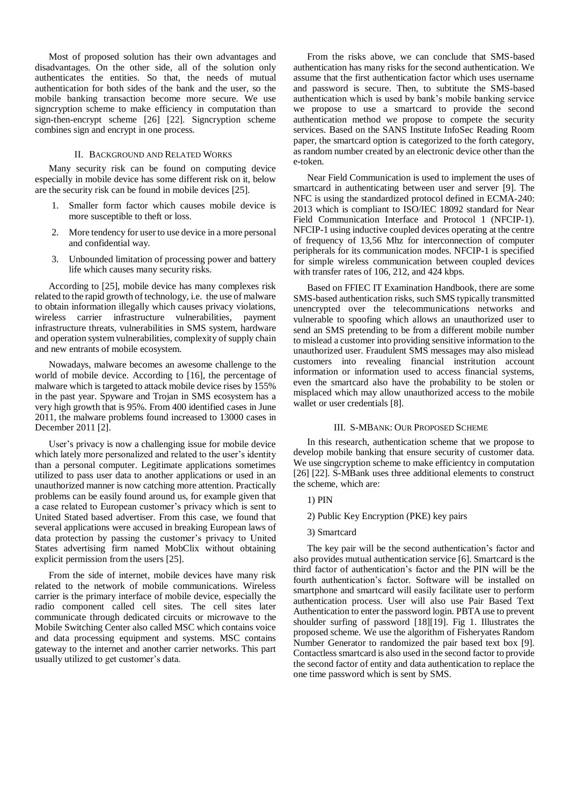Most of proposed solution has their own advantages and disadvantages. On the other side, all of the solution only authenticates the entities. So that, the needs of mutual authentication for both sides of the bank and the user, so the mobile banking transaction become more secure. We use signcryption scheme to make efficiency in computation than sign-then-encrypt scheme [26] [22]. Signcryption scheme combines sign and encrypt in one process.

## II. BACKGROUND AND RELATED WORKS

Many security risk can be found on computing device especially in mobile device has some different risk on it, below are the security risk can be found in mobile devices [25].

- 1. Smaller form factor which causes mobile device is more susceptible to theft or loss.
- 2. More tendency for user to use device in a more personal and confidential way.
- 3. Unbounded limitation of processing power and battery life which causes many security risks.

According to [25], mobile device has many complexes risk related to the rapid growth of technology, i.e. the use of malware to obtain information illegally which causes privacy violations, wireless carrier infrastructure vulnerabilities, payment infrastructure threats, vulnerabilities in SMS system, hardware and operation system vulnerabilities, complexity of supply chain and new entrants of mobile ecosystem.

Nowadays, malware becomes an awesome challenge to the world of mobile device. According to [16], the percentage of malware which is targeted to attack mobile device rises by 155% in the past year. Spyware and Trojan in SMS ecosystem has a very high growth that is 95%. From 400 identified cases in June 2011, the malware problems found increased to 13000 cases in December 2011 [2].

User's privacy is now a challenging issue for mobile device which lately more personalized and related to the user's identity than a personal computer. Legitimate applications sometimes utilized to pass user data to another applications or used in an unauthorized manner is now catching more attention. Practically problems can be easily found around us, for example given that a case related to European customer's privacy which is sent to United Stated based advertiser. From this case, we found that several applications were accused in breaking European laws of data protection by passing the customer's privacy to United States advertising firm named MobClix without obtaining explicit permission from the users [25].

From the side of internet, mobile devices have many risk related to the network of mobile communications. Wireless carrier is the primary interface of mobile device, especially the radio component called cell sites. The cell sites later communicate through dedicated circuits or microwave to the Mobile Switching Center also called MSC which contains voice and data processing equipment and systems. MSC contains gateway to the internet and another carrier networks. This part usually utilized to get customer's data.

From the risks above, we can conclude that SMS-based authentication has many risks for the second authentication. We assume that the first authentication factor which uses username and password is secure. Then, to subtitute the SMS-based authentication which is used by bank's mobile banking service we propose to use a smartcard to provide the second authentication method we propose to compete the security services. Based on the SANS Institute InfoSec Reading Room paper, the smartcard option is categorized to the forth category, as random number created by an electronic device other than the e-token.

Near Field Communication is used to implement the uses of smartcard in authenticating between user and server [9]. The NFC is using the standardized protocol defined in ECMA-240: 2013 which is compliant to ISO/IEC 18092 standard for Near Field Communication Interface and Protocol 1 (NFCIP-1). NFCIP-1 using inductive coupled devices operating at the centre of frequency of 13,56 Mhz for interconnection of computer peripherals for its communication modes. NFCIP-1 is specified for simple wireless communication between coupled devices with transfer rates of 106, 212, and 424 kbps.

Based on FFIEC IT Examination Handbook, there are some SMS-based authentication risks, such SMS typically transmitted unencrypted over the telecommunications networks and vulnerable to spoofing which allows an unauthorized user to send an SMS pretending to be from a different mobile number to mislead a customer into providing sensitive information to the unauthorized user. Fraudulent SMS messages may also mislead customers into revealing financial instritution account information or information used to access financial systems, even the smartcard also have the probability to be stolen or misplaced which may allow unauthorized access to the mobile wallet or user credentials [8].

## III. S-MBANK: OUR PROPOSED SCHEME

In this research, authentication scheme that we propose to develop mobile banking that ensure security of customer data. We use singcryption scheme to make efficientcy in computation [26] [22]. S-MBank uses three additional elements to construct the scheme, which are:

- 1) PIN
- 2) Public Key Encryption (PKE) key pairs
- 3) Smartcard

The key pair will be the second authentication's factor and also provides mutual authentication service [6]. Smartcard is the third factor of authentication's factor and the PIN will be the fourth authentication's factor. Software will be installed on smartphone and smartcard will easily facilitate user to perform authentication process. User will also use Pair Based Text Authentication to enter the password login. PBTA use to prevent shoulder surfing of password [18][19]. Fig 1. Illustrates the proposed scheme. We use the algorithm of Fisheryates Random Number Generator to randomized the pair based text box [9]. Contactless smartcard is also used in the second factor to provide the second factor of entity and data authentication to replace the one time password which is sent by SMS.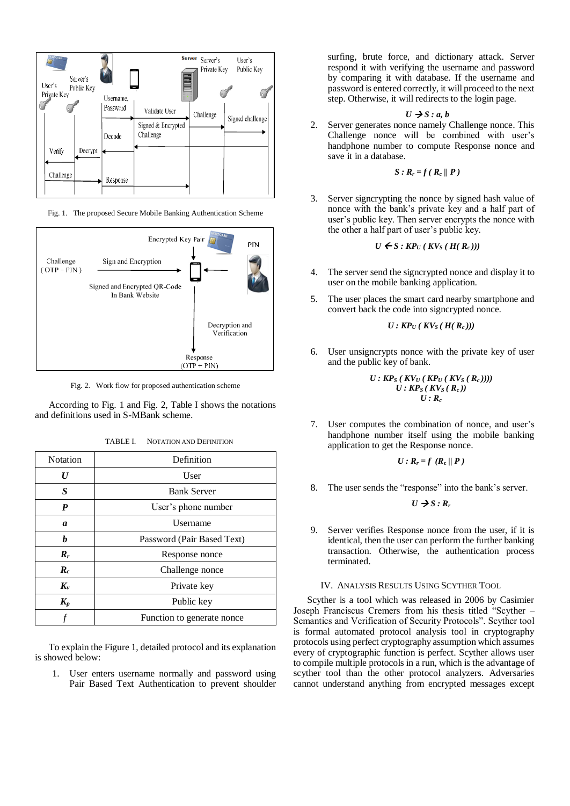

Fig. 1. The proposed Secure Mobile Banking Authentication Scheme



Fig. 2. Work flow for proposed authentication scheme

According to Fig. 1 and Fig. 2, Table I shows the notations and definitions used in S-MBank scheme.

| <b>Notation</b>    | Definition                 |  |  |
|--------------------|----------------------------|--|--|
| $\bm{U}$           | User                       |  |  |
| S                  | <b>Bank Server</b>         |  |  |
| P                  | User's phone number        |  |  |
| a                  | Username                   |  |  |
| h                  | Password (Pair Based Text) |  |  |
| $R_r$              | Response nonce             |  |  |
| $\boldsymbol{R}_c$ | Challenge nonce            |  |  |
| $K_{\nu}$          | Private key                |  |  |
| $K_p$              | Public key                 |  |  |
|                    | Function to generate nonce |  |  |

To explain the Figure 1, detailed protocol and its explanation is showed below:

1. User enters username normally and password using Pair Based Text Authentication to prevent shoulder

surfing, brute force, and dictionary attack. Server respond it with verifying the username and password by comparing it with database. If the username and password is entered correctly, it will proceed to the next step. Otherwise, it will redirects to the login page.

$$
U \rightarrow S : a, b
$$

2. Server generates nonce namely Challenge nonce. This Challenge nonce will be combined with user's handphone number to compute Response nonce and save it in a database.

$$
S: \mathbf{R}_r = f(\mathbf{R}_c \, || \, \mathbf{P})
$$

3. Server signcrypting the nonce by signed hash value of nonce with the bank's private key and a half part of user's public key. Then server encrypts the nonce with the other a half part of user's public key.

$$
U \leftarrow S : \textit{KP}_U(\textit{KV}_S(\textit{H}(\textit{R}_c)))
$$

- 4. The server send the signcrypted nonce and display it to user on the mobile banking application.
- 5. The user places the smart card nearby smartphone and convert back the code into signcrypted nonce.

$$
U: \textit{KP}_U\left(\textit{KV}_S\left(\textit{H}\left(\textit{R}_c\right)\right)\right)
$$

6. User unsigncrypts nonce with the private key of user and the public key of bank.

$$
U: KP_S (KV_U (KP_U (KV_S (R_c))))
$$
  

$$
U: KP_S (KV_S (R_c))
$$
  

$$
U: R_c
$$

7. User computes the combination of nonce, and user's handphone number itself using the mobile banking application to get the Response nonce.

$$
U: R_r = f (R_c || P)
$$

8. The user sends the "response" into the bank's server.

 $U \rightarrow S : R_r$ 

9. Server verifies Response nonce from the user, if it is identical, then the user can perform the further banking transaction. Otherwise, the authentication process terminated.

## IV. ANALYSIS RESULTS USING SCYTHER TOOL

Scyther is a tool which was released in 2006 by Casimier Joseph Franciscus Cremers from his thesis titled "Scyther – Semantics and Verification of Security Protocols". Scyther tool is formal automated protocol analysis tool in cryptography protocols using perfect cryptography assumption which assumes every of cryptographic function is perfect. Scyther allows user to compile multiple protocols in a run, which is the advantage of scyther tool than the other protocol analyzers. Adversaries cannot understand anything from encrypted messages except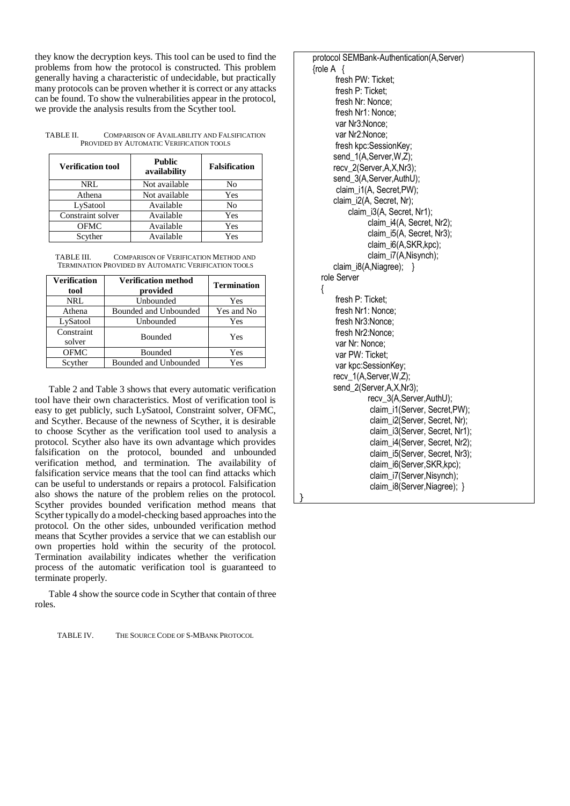they know the decryption keys. This tool can be used to find the problems from how the protocol is constructed. This problem generally having a characteristic of undecidable, but practically many protocols can be proven whether it is correct or any attacks can be found. To show the vulnerabilities appear in the protocol, we provide the analysis results from the Scyther tool.

| TABLE II. | COMPARISON OF AVAILABILITY AND FALSIFICATION |
|-----------|----------------------------------------------|
|           | PROVIDED BY AUTOMATIC VERIFICATION TOOLS     |

| <b>Verification tool</b> | <b>Public</b><br>availability | <b>Falsification</b> |  |
|--------------------------|-------------------------------|----------------------|--|
| NRL                      | Not available                 | No                   |  |
| Athena                   | Not available                 | Yes                  |  |
| LySatool                 | Available                     | No                   |  |
| Constraint solver        | Available                     | Yes                  |  |
| <b>OFMC</b>              | Available                     | Yes                  |  |
| Scyther                  | Available                     | Yes                  |  |

| TABLE III. | <b>COMPARISON OF VERIFICATION METHOD AND</b>                |
|------------|-------------------------------------------------------------|
|            | <b>TERMINATION PROVIDED BY AUTOMATIC VERIFICATION TOOLS</b> |

| <b>Verification</b><br>tool | <b>Verification method</b><br>provided | <b>Termination</b> |
|-----------------------------|----------------------------------------|--------------------|
| NRL                         | Unbounded                              | Yes                |
| Athena                      | Bounded and Unbounded                  | Yes and No         |
| LySatool                    | Unbounded                              | Yes                |
| Constraint<br>solver        | <b>Bounded</b>                         | Yes                |
| <b>OFMC</b>                 | Bounded                                | Yes                |
| Scyther                     | Bounded and Unbounded                  | Yes                |

Table 2 and Table 3 shows that every automatic verification tool have their own characteristics. Most of verification tool is easy to get publicly, such LySatool, Constraint solver, OFMC, and Scyther. Because of the newness of Scyther, it is desirable to choose Scyther as the verification tool used to analysis a protocol. Scyther also have its own advantage which provides falsification on the protocol, bounded and unbounded verification method, and termination. The availability of falsification service means that the tool can find attacks which can be useful to understands or repairs a protocol. Falsification also shows the nature of the problem relies on the protocol. Scyther provides bounded verification method means that Scyther typically do a model-checking based approaches into the protocol. On the other sides, unbounded verification method means that Scyther provides a service that we can establish our own properties hold within the security of the protocol. Termination availability indicates whether the verification process of the automatic verification tool is guaranteed to terminate properly.

}

Table 4 show the source code in Scyther that contain of three roles.

TABLE IV. THE SOURCE CODE OF S-MBANK PROTOCOL

protocol SEMBank-Authentication(A,Server)  ${role A}$ fresh PW: Ticket; fresh P: Ticket; fresh Nr: Nonce; fresh Nr1: Nonce; var Nr3:Nonce; var Nr2:Nonce; fresh kpc:SessionKey: send\_1(A,Server,W,Z); recv\_2(Server,A,X,Nr3); send\_3(A,Server,AuthU); claim\_i1(A, Secret,PW); claim\_i2(A, Secret, Nr); claim\_i3(A, Secret, Nr1); claim\_i4(A, Secret, Nr2); claim\_i5(A, Secret, Nr3); claim\_i6(A,SKR,kpc); claim\_i7(A,Nisynch); claim\_i8(A,Niagree); } role Server { fresh P: Ticket; fresh Nr1: Nonce; fresh Nr3:Nonce; fresh Nr2:Nonce; var Nr: Nonce; var PW: Ticket; var kpc:SessionKey; recv\_1(A,Server,W,Z); send\_2(Server,A,X,Nr3); recv\_3(A,Server,AuthU); claim\_i1(Server, Secret,PW); claim\_i2(Server, Secret, Nr); claim\_i3(Server, Secret, Nr1); claim\_i4(Server, Secret, Nr2); claim\_i5(Server, Secret, Nr3); claim\_i6(Server,SKR,kpc); claim\_i7(Server,Nisynch); claim\_i8(Server,Niagree); }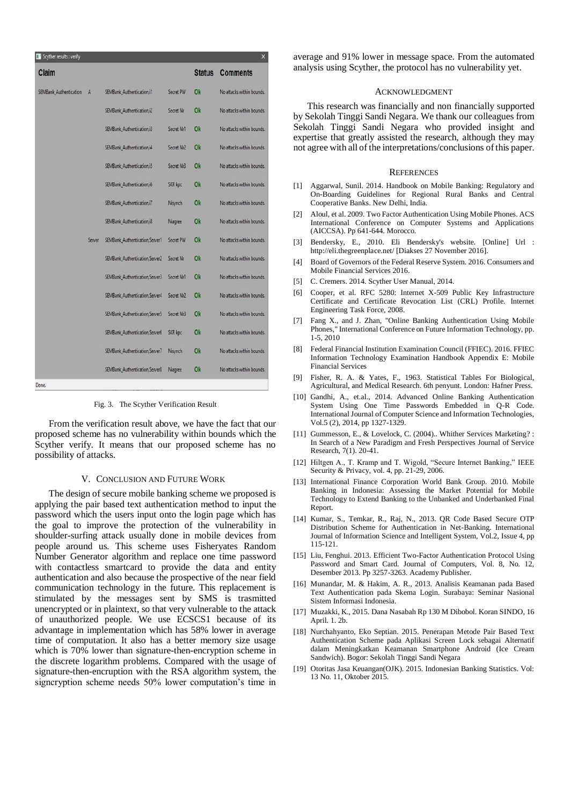| Claim                  |        |                                 |            | <b>Status</b> | <b>Comments</b>           |
|------------------------|--------|---------------------------------|------------|---------------|---------------------------|
| SEMBank Authentication | A      | SEMBank Authentication, i1      | Secret PW  | Ok            | No attacks within bounds. |
|                        |        | SEMBank Authentication, i2      | Secret Nr  | Ok            | No attacks within bounds. |
|                        |        | SEMBank Authentication, i3      | Secret Nr1 | Ok            | No attacks within bounds. |
|                        |        | SEMBank Authentication.i4       | Secret Nr2 | Ok            | No attacks within bounds. |
|                        |        | SEMBank Authentication.i5       | Secret Nr3 | Ok            | No attacks within bounds. |
|                        |        | SEMBank Authentication, i6      | SKR kpc    | <b>Ok</b>     | No attacks within bounds. |
|                        |        | SEMBank Authentication.i7       | Nisynch    | Ok            | No attacks within bounds. |
|                        |        | SEMBank Authentication, i8      | Niagree    | Ok            | No attacks within bounds. |
|                        | Server | SEMBank_Authentication, Server1 | Secret PW  | Ok            | No attacks within bounds. |
|                        |        | SEMBank Authentication Server2  | Secret Nr  | Ok            | No attacks within bounds. |
|                        |        | SEMBank_Authentication, Server3 | Secret Nr1 | Ok            | No attacks within bounds. |
|                        |        | SEMBank Authentication Server4  | Secret Nr2 | Ok            | No attacks within bounds. |
|                        |        | SEMBank Authentication Server5  | Secret Nr3 | Ok            | No attacks within bounds. |
|                        |        | SEMBank_Authentication, Server6 | SKR kpc    | Ok            | No attacks within bounds. |
|                        |        | SEMBank_Authentication, Server7 | Nisynch    | Ok            | No attacks within bounds. |
|                        |        | SEMBank Authentication Server8  | Niagree    | Ok            | No attacks within bounds. |

Fig. 3. The Scyther Verification Result

From the verification result above, we have the fact that our proposed scheme has no vulnerability within bounds which the Scyther verify. It means that our proposed scheme has no possibility of attacks.

## V. CONCLUSION AND FUTURE WORK

The design of secure mobile banking scheme we proposed is applying the pair based text authentication method to input the password which the users input onto the login page which has the goal to improve the protection of the vulnerability in shoulder-surfing attack usually done in mobile devices from people around us. This scheme uses Fisheryates Random Number Generator algorithm and replace one time password with contactless smartcard to provide the data and entity authentication and also because the prospective of the near field communication technology in the future. This replacement is stimulated by the messages sent by SMS is trasmitted unencrypted or in plaintext, so that very vulnerable to the attack of unauthorized people. We use ECSCS1 because of its advantage in implementation which has 58% lower in average time of computation. It also has a better memory size usage which is 70% lower than signature-then-encryption scheme in the discrete logarithm problems. Compared with the usage of signature-then-encruption with the RSA algorithm system, the signcryption scheme needs 50% lower computation's time in

average and 91% lower in message space. From the automated analysis using Scyther, the protocol has no vulnerability yet.

#### ACKNOWLEDGMENT

This research was financially and non financially supported by Sekolah Tinggi Sandi Negara. We thank our colleagues from Sekolah Tinggi Sandi Negara who provided insight and expertise that greatly assisted the research, although they may not agree with all of the interpretations/conclusions of this paper.

#### **REFERENCES**

- [1] Aggarwal, Sunil. 2014. Handbook on Mobile Banking: Regulatory and On-Boarding Guidelines for Regional Rural Banks and Central Cooperative Banks. New Delhi, India.
- [2] Aloul, et al. 2009. Two Factor Authentication Using Mobile Phones. ACS International Conference on Computer Systems and Applications (AICCSA). Pp 641-644. Morocco.
- [3] Bendersky, E., 2010. Eli Bendersky's website. [Online] Url : http://eli.thegreenplace.net/ [Diakses 27 November 2016].
- Board of Governors of the Federal Reserve System. 2016. Consumers and Mobile Financial Services 2016.
- [5] C. Cremers. 2014. Scyther User Manual, 2014.
- [6] Cooper, et al. RFC 5280: Internet X-509 Public Key Infrastructure Certificate and Certificate Revocation List (CRL) Profile. Internet Engineering Task Force, 2008.
- [7] Fang X., and J. Zhan, "Online Banking Authentication Using Mobile Phones," International Conference on Future Information Technology, pp. 1-5, 2010
- [8] Federal Financial Institution Examination Council (FFIEC). 2016. FFIEC Information Technology Examination Handbook Appendix E: Mobile Financial Services
- [9] Fisher, R. A. & Yates, F., 1963. Statistical Tables For Biological, Agricultural, and Medical Research. 6th penyunt. London: Hafner Press.
- [10] Gandhi, A., et.al., 2014. Advanced Online Banking Authentication System Using One Time Passwords Embedded in Q-R Code. International Journal of Computer Science and Information Technologies, Vol.5 (2), 2014, pp 1327-1329.
- [11] Gummesson, E., & Lovelock, C. (2004).. Whither Services Marketing?: In Search of a New Paradigm and Fresh Perspectives Journal of Service Research, 7(1). 20-41.
- [12] Hiltgen A., T. Kramp and T. Wigold, "Secure Internet Banking," IEEE Security & Privacy, vol. 4, pp. 21-29, 2006.
- [13] International Finance Corporation World Bank Group. 2010. Mobile Banking in Indonesia: Assessing the Market Potential for Mobile Technology to Extend Banking to the Unbanked and Underbanked Final Report.
- [14] Kumar, S., Temkar, R., Raj, N., 2013. QR Code Based Secure OTP Distribution Scheme for Authentication in Net-Banking. International Journal of Information Science and Intelligent System, Vol.2, Issue 4, pp 115-121.
- [15] Liu, Fenghui. 2013. Efficient Two-Factor Authentication Protocol Using Password and Smart Card. Journal of Computers, Vol. 8, No. 12, Desember 2013. Pp 3257-3263. Academy Publisher.
- [16] Munandar, M. & Hakim, A. R., 2013. Analisis Keamanan pada Based Text Authentication pada Skema Login. Surabaya: Seminar Nasional Sistem Informasi Indonesia.
- [17] Muzakki, K., 2015. Dana Nasabah Rp 130 M Dibobol. Koran SINDO, 16 April. 1. 2b.
- [18] Nurchahyanto, Eko Septian. 2015. Penerapan Metode Pair Based Text Authentication Scheme pada Aplikasi Screen Lock sebagai Alternatif dalam Meningkatkan Keamanan Smartphone Android (Ice Cream Sandwich). Bogor: Sekolah Tinggi Sandi Negara
- [19] Otoritas Jasa Keuangan(OJK). 2015. Indonesian Banking Statistics. Vol: 13 No. 11, Oktober 2015.